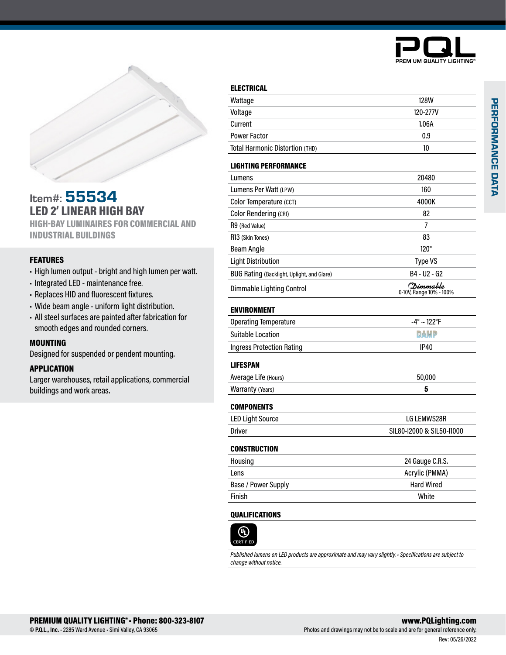



# Item#: 55534 LED 2' LINEAR HIGH BAY

HIGH-BAY LUMINAIRES FOR COMMERCIAL AND INDUSTRIAL BUILDINGS

# FEATURES

- High lumen output bright and high lumen per watt.
- Integrated LED maintenance free.
- Replaces HID and fluorescent fixtures.
- Wide beam angle uniform light distribution.
- All steel surfaces are painted after fabrication for smooth edges and rounded corners.

### MOUNTING

Designed for suspended or pendent mounting.

# APPLICATION

Larger warehouses, retail applications, commercial buildings and work areas.

|  | Wattage                                    | <b>128W</b>                                   |
|--|--------------------------------------------|-----------------------------------------------|
|  | Voltage                                    | 120-277V                                      |
|  | Current                                    | 1.06A                                         |
|  | <b>Power Factor</b>                        | 0.9                                           |
|  | <b>Total Harmonic Distortion (THD)</b>     | 10                                            |
|  | <b>LIGHTING PERFORMANCE</b>                |                                               |
|  | Lumens                                     | 20480                                         |
|  | Lumens Per Watt (LPW)                      | 160                                           |
|  | Color Temperature (CCT)                    | 4000K                                         |
|  | <b>Color Rendering (CRI)</b>               | 82                                            |
|  | R9 (Red Value)                             | 7                                             |
|  | R13 (Skin Tones)                           | 83                                            |
|  | Beam Angle                                 | $120^\circ$                                   |
|  | <b>Light Distribution</b>                  | <b>Type VS</b>                                |
|  | BUG Rating (Backlight, Uplight, and Glare) | B4 - U2 - G2                                  |
|  | Dimmable Lighting Control                  | (D <i>imm</i> able<br>0-10V, Range 10% - 100% |
|  | <b>ENVIRONMENT</b>                         |                                               |
|  | <b>Operating Temperature</b>               | $-4^{\circ} \sim 122^{\circ}F$                |
|  | <b>Suitable Location</b>                   | <b>DAMP</b>                                   |
|  | <b>Ingress Protection Rating</b>           | <b>IP40</b>                                   |
|  | <b>LIFESPAN</b>                            |                                               |
|  | Average Life (Hours)                       | 50,000                                        |

# Warranty (Years) 5

ELECTRICAL

| <b>COMPONENTS</b>       |                           |
|-------------------------|---------------------------|
| <b>LED Light Source</b> | LG LEMWS28R               |
| Driver                  | SIL80-I2000 & SIL50-I1000 |

#### **CONSTRUCTION**

| Housing             | 24 Gauge C.R.S.   |
|---------------------|-------------------|
| Lens                | Acrylic (PMMA)    |
| Base / Power Supply | <b>Hard Wired</b> |
| Finish              | White             |

# QUALIFICATIONS



*Published lumens on LED products are approximate and may vary slightly. • Specifications are subject to change without notice.*